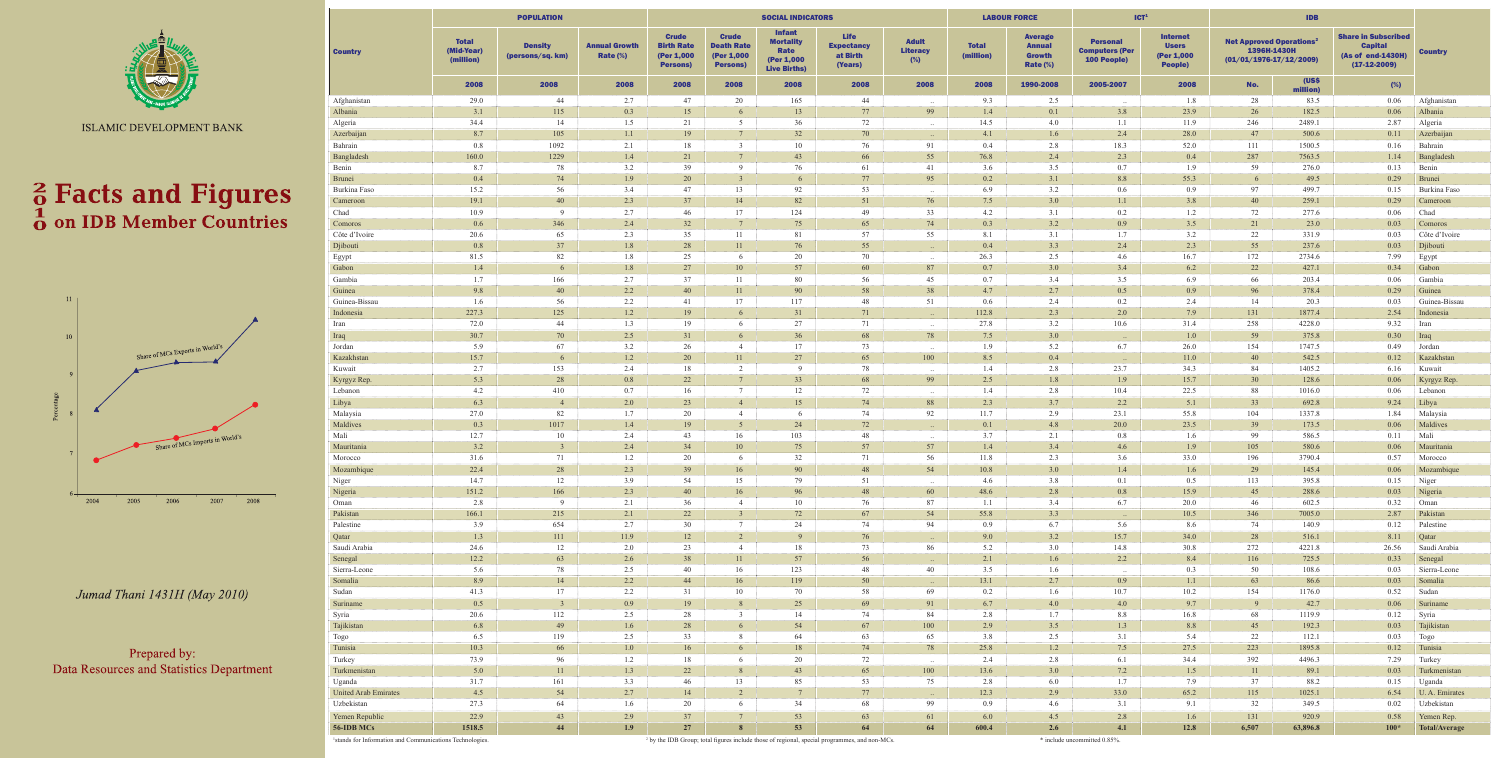

ISLAMIC DEVELOPMENT BANK

# **a** Facts and Figures<br>**b** on IDB Member Countries



Jumad Thani 1431H (May 2010)

Prepared by: Data Resources and Statistics Department

|                             |                                         | <b>POPULATION</b>                  |                                     |                                                                                                                                           |                         | <b>SOCIAL INDICATORS</b>                                                       |                                                         |                                           |                           | <b>LABOUR FORCE</b>                                             | ICT <sup>1</sup>                                        |                                                                 |                                                                                        |                   |                                                                                     |                           |
|-----------------------------|-----------------------------------------|------------------------------------|-------------------------------------|-------------------------------------------------------------------------------------------------------------------------------------------|-------------------------|--------------------------------------------------------------------------------|---------------------------------------------------------|-------------------------------------------|---------------------------|-----------------------------------------------------------------|---------------------------------------------------------|-----------------------------------------------------------------|----------------------------------------------------------------------------------------|-------------------|-------------------------------------------------------------------------------------|---------------------------|
| <b>Country</b>              | <b>Total</b><br>(Mid-Year)<br>(million) | <b>Density</b><br>(persons/sq. km) | <b>Annual Growth</b><br>Rate $(\%)$ | <b>Crude</b><br><b>Crude</b><br><b>Death Rate</b><br><b>Birth Rate</b><br>(Per 1,000<br>(Per 1,000)<br><b>Persons)</b><br><b>Persons)</b> |                         | <b>Infant</b><br><b>Mortality</b><br>Rate<br>(Per 1,000<br><b>Live Births)</b> | <b>Life</b><br><b>Expectancy</b><br>at Birth<br>(Years) | <b>Adult</b><br><b>Literacy</b><br>$(\%)$ | <b>Total</b><br>(million) | <b>Average</b><br><b>Annual</b><br><b>Growth</b><br>Rate $(\%)$ | <b>Personal</b><br><b>Computers (Per</b><br>100 People) | <b>Internet</b><br><b>Users</b><br>(Per 1,000<br><b>People)</b> | <b>Net Approved Operations<sup>2</sup></b><br>1396H-1430H<br>$(01/01/1976-17/12/2009)$ |                   | <b>Share in Subscribed</b><br><b>Capital</b><br>(As of end-1430H)<br>$(17-12-2009)$ | <b>Country</b>            |
|                             | 2008                                    | 2008                               | 2008                                | 2008                                                                                                                                      | 2008                    | 2008                                                                           | 2008                                                    | 2008                                      | 2008                      | 1990-2008                                                       | 2005-2007                                               | 2008                                                            | No.                                                                                    | (US\$<br>million) | (%)                                                                                 |                           |
| Afghanistan                 | 29.0                                    | 44                                 | 2.7                                 | 47                                                                                                                                        | 20                      | 165                                                                            | 44                                                      |                                           | 9.3                       | 2.5                                                             |                                                         | 1.8                                                             | 28                                                                                     | 83.5              | 0.06                                                                                | Afghanistan               |
| Albania                     | 3.1                                     | 115                                | 0.3                                 | 15                                                                                                                                        | 6                       | 13                                                                             | 77                                                      | 99                                        | 1.4                       | 0.1                                                             | 3.8                                                     | 23.9                                                            | 26                                                                                     | 182.5             | 0.06                                                                                | Albania                   |
| Algeria                     | 34.4                                    | 14                                 | 1.5                                 | 21                                                                                                                                        | 5<br>$7\phantom{.0}$    | 36                                                                             | 72                                                      | $\ddots$                                  | 14.5                      | 4.0                                                             | 1.1                                                     | 11.9                                                            | 246                                                                                    | 2489.1            | 2.87                                                                                | Algeria                   |
| Azerbaijan<br>Bahrain       | 8.7<br>0.8                              | 105<br>1092                        | 1.1<br>2.1                          | 19<br>18                                                                                                                                  | $\overline{3}$          | 32<br>10                                                                       | 70<br>76                                                | $\sim$<br>91                              | 4.1<br>0.4                | 1.6<br>2.8                                                      | 2.4<br>18.3                                             | 28.0<br>52.0                                                    | 47<br>111                                                                              | 500.6<br>1500.5   | 0.11<br>0.16                                                                        | Azerbaijan<br>Bahrain     |
| Bangladesh                  | 160.0                                   | 1229                               | 1.4                                 | 21                                                                                                                                        | $7\overline{ }$         | 43                                                                             | 66                                                      | 55                                        | 76.8                      | 2.4                                                             | 2.3                                                     | 0.4                                                             | 287                                                                                    | 7563.5            | 1.14                                                                                | Bangladesh                |
| Benin                       | 8.7                                     | 78                                 | 3.2                                 | 39                                                                                                                                        | 9                       | 76                                                                             | 61                                                      | 41                                        | 3.6                       | 3.5                                                             | 0.7                                                     | 1.9                                                             | 59                                                                                     | 276.0             | 0.13                                                                                | Benin                     |
| <b>Brunei</b>               | 0.4                                     | 74                                 | 1.9                                 | 20                                                                                                                                        | $\mathcal{R}$           | 6                                                                              | 77                                                      | 95                                        | 0.2                       | 3.1                                                             | 8.8                                                     | 55.3                                                            | -6                                                                                     | 49.5              | 0.29                                                                                | <b>Brunei</b>             |
| Burkina Faso                | 15.2                                    | 56                                 | 3.4                                 | 47                                                                                                                                        | 13                      | 92                                                                             | 53                                                      |                                           | 6.9                       | 3.2                                                             | 0.6                                                     | 0.9                                                             | 97                                                                                     | 499.7             | 0.15                                                                                | Burkina Faso              |
| Cameroon                    | 19.1                                    | 40                                 | 2.3                                 | 37                                                                                                                                        | 14                      | 82                                                                             | 51                                                      | 76                                        | 7.5                       | 3.0                                                             | 1.1                                                     | 3.8                                                             | 40                                                                                     | 259.1             | 0.29                                                                                | Cameroon                  |
| Chad                        | 10.9                                    | -9                                 | 2.7                                 | 46                                                                                                                                        | 17                      | 124                                                                            | 49                                                      | 33                                        | 4.2                       | 3.1                                                             | 0.2                                                     | 1.2                                                             | 72                                                                                     | 277.6             | 0.06                                                                                | Chad                      |
| Comoros                     | 0.6                                     | 346<br>65                          | 2.4<br>2.3                          | 32<br>35                                                                                                                                  | $7\overline{ }$<br>11   | 75                                                                             | 65<br>57                                                | 74<br>55                                  | 0.3                       | 3.2<br>3.1                                                      | 0.9<br>1.7                                              | 3.5<br>3.2                                                      | 21<br>22                                                                               | 23.0              | 0.03                                                                                | Comoros                   |
| Côte d'Ivoire<br>Djibouti   | 20.6<br>0.8                             | 37                                 | 1.8                                 | 28                                                                                                                                        | 11                      | 81<br>76                                                                       | 55                                                      |                                           | 8.1<br>0.4                | 3.3                                                             | 2.4                                                     | 2.3                                                             | 55                                                                                     | 331.9<br>237.6    | 0.03<br>0.03                                                                        | Côte d'Ivoire<br>Djibouti |
| Egypt                       | 81.5                                    | 82                                 | 1.8                                 | 25                                                                                                                                        | -6                      | 20                                                                             | 70                                                      | $\sim$                                    | 26.3                      | 2.5                                                             | 4.6                                                     | 16.7                                                            | 172                                                                                    | 2734.6            | 7.99                                                                                | Egypt                     |
| Gabon                       | 1.4                                     | 6                                  | 1.8                                 | 27                                                                                                                                        | 10                      | 57                                                                             | 60                                                      | 87                                        | 0.7                       | 3.0                                                             | 3.4                                                     | 6.2                                                             | 22                                                                                     | 427.1             | 0.34                                                                                | Gabon                     |
| Gambia                      | 1.7                                     | 166                                | 2.7                                 | 37                                                                                                                                        | 11                      | 80                                                                             | 56                                                      | 45                                        | 0.7                       | 3.4                                                             | 3.5                                                     | 6.9                                                             | 66                                                                                     | 203.4             | 0.06                                                                                | Gambia                    |
| Guinea                      | 9.8                                     | 40                                 | 2.2                                 | 40                                                                                                                                        | 11                      | 90                                                                             | 58                                                      | 38                                        | 4.7                       | 2.7                                                             | 0.5                                                     | 0.9                                                             | 96                                                                                     | 378.4             | 0.29                                                                                | Guinea                    |
| Guinea-Bissau               | 1.6                                     | 56                                 | 2.2                                 | 41                                                                                                                                        | 17                      | 117                                                                            | 48                                                      | 51                                        | 0.6                       | 2.4                                                             | 0.2                                                     | 2.4                                                             | 14                                                                                     | 20.3              | 0.03                                                                                | Guinea-Bissau             |
| Indonesia                   | 227.3                                   | 125                                | 1.2                                 | 19                                                                                                                                        | 6                       | 31                                                                             | 71                                                      | $\sim$                                    | 112.8                     | 2.3                                                             | 2.0                                                     | 7.9                                                             | 131                                                                                    | 1877.4            | 2.54                                                                                | Indonesia                 |
| Iran                        | 72.0                                    | 44                                 | 1.3                                 | 19                                                                                                                                        | -6                      | 27                                                                             | 71                                                      | $\ddots$                                  | 27.8                      | 3.2                                                             | 10.6                                                    | 31.4                                                            | 258                                                                                    | 4228.0            | 9.32                                                                                | Iran                      |
| Iraq<br>Jordan              | 30.7<br>5.9                             | 70<br>67                           | 2.5<br>3.2                          | 31<br>26                                                                                                                                  | 6<br>$\overline{4}$     | 36<br>17                                                                       | 68<br>73                                                | 78                                        | 7.5<br>1.9                | 3.0<br>5.2                                                      | 6.7                                                     | 1.0<br>26.0                                                     | 59<br>154                                                                              | 375.8<br>1747.5   | 0.30<br>0.49                                                                        | Iraq<br>Jordan            |
| Kazakhstan                  | 15.7                                    |                                    | 1.2                                 | 20                                                                                                                                        | 11                      | 27                                                                             | 65                                                      | $\cdot$ .<br>100                          | 8.5                       | 0.4                                                             |                                                         | 11.0                                                            | 40                                                                                     | 542.5             | 0.12                                                                                | Kazakhstan                |
| Kuwait                      | 2.7                                     | 153                                | 2.4                                 | 18                                                                                                                                        | 2                       | 9                                                                              | 78                                                      |                                           | 1.4                       | 2.8                                                             | 23.7                                                    | 34.3                                                            | 84                                                                                     | 1405.2            | 6.16                                                                                | Kuwait                    |
| Kyrgyz Rep.                 | 5.3                                     | 28                                 | 0.8                                 | 22                                                                                                                                        | $7\phantom{.0}$         | 33                                                                             | 68                                                      | 99                                        | 2.5                       | 1.8                                                             | 1.9                                                     | 15.7                                                            | 30                                                                                     | 128.6             | 0.06                                                                                | Kyrgyz Rep.               |
| Lebanon                     | 4.2                                     | 410                                | 0.7                                 | 16                                                                                                                                        | $7\overline{ }$         | 12                                                                             | 72                                                      |                                           | 1.4                       | 2.8                                                             | 10.4                                                    | 22.5                                                            | 88                                                                                     | 1016.0            | 0.06                                                                                | Lebanon                   |
| Libya                       | 6.3                                     | $\overline{4}$                     | 2.0                                 | 23                                                                                                                                        | $\overline{4}$          | 15                                                                             | 74                                                      | 88                                        | 2.3                       | 3.7                                                             | 2.2                                                     | 5.1                                                             | 33                                                                                     | 692.8             | 9.24                                                                                | Libya                     |
| Malaysia                    | 27.0                                    | 82                                 | 1.7                                 | 20                                                                                                                                        | $\overline{4}$          | 6                                                                              | 74                                                      | 92                                        | 11.7                      | 2.9                                                             | 23.1                                                    | 55.8                                                            | 104                                                                                    | 1337.8            | 1.84                                                                                | Malaysia                  |
| Maldives                    | 0.3                                     | 1017                               | 1.4                                 | 19                                                                                                                                        | 5 <sup>5</sup>          | 24                                                                             | 72                                                      | $\sim$ $\sim$                             | 0.1                       | 4.8                                                             | 20.0                                                    | 23.5                                                            | 39                                                                                     | 173.5             | 0.06                                                                                | Maldives                  |
| Mali                        | 12.7                                    | 10<br>$\mathcal{R}$                | 2.4                                 | 43                                                                                                                                        | 16                      | 103                                                                            | 48                                                      | $\ddots$                                  | 3.7                       | 2.1                                                             | 0.8                                                     | 1.6                                                             | -99                                                                                    | 586.5             | 0.11                                                                                | Mali                      |
| Mauritania<br>Morocco       | 3.2<br>31.6                             | 71                                 | 2.4<br>1.2                          | 34<br>20                                                                                                                                  | 10<br>-6                | 75<br>32                                                                       | 57<br>71                                                | 57<br>56                                  | 1.4<br>11.8               | 3.4<br>2.3                                                      | 4.6<br>3.6                                              | 1.9<br>33.0                                                     | 105<br>196                                                                             | 580.6<br>3790.4   | 0.06<br>0.57                                                                        | Mauritania<br>Morocco     |
| Mozambique                  | 22.4                                    | 28                                 | 2.3                                 | 39                                                                                                                                        | 16                      | 90                                                                             | 48                                                      | 54                                        | 10.8                      | 3.0                                                             | 1.4                                                     | 1.6                                                             | 29                                                                                     | 145.4             | 0.06                                                                                | Mozambique                |
| Niger                       | 14.7                                    | 12                                 | 3.9                                 | 54                                                                                                                                        | 15                      | 79                                                                             | 51                                                      |                                           | 4.6                       | 3.8                                                             | 0.1                                                     | 0.5                                                             | 113                                                                                    | 395.8             | 0.15                                                                                | Niger                     |
| Nigeria                     | 151.2                                   | 166                                | 2.3                                 | 40                                                                                                                                        | 16                      | 96                                                                             | 48                                                      | 60                                        | 48.6                      | 2.8                                                             | 0.8                                                     | 15.9                                                            | 45                                                                                     | 288.6             | 0.03                                                                                | Nigeria                   |
| Oman                        | 2.8                                     | 9                                  | 2.1                                 | 36                                                                                                                                        | $\overline{4}$          | 10                                                                             | 76                                                      | 87                                        | 1.1                       | 3.4                                                             | 6.7                                                     | 20.0                                                            | 46                                                                                     | 602.5             | 0.32                                                                                | Oman                      |
| Pakistan                    | 166.1                                   | 215                                | 2.1                                 | 22                                                                                                                                        | 3 <sup>7</sup>          | 72                                                                             | 67                                                      | 54                                        | 55.8                      | 3.3                                                             | $\sim 100$                                              | 10.5                                                            | 346                                                                                    | 7005.0            | 2.87                                                                                | Pakistan                  |
| Palestine                   | 3.9                                     | 654                                | 2.7                                 | 30                                                                                                                                        | $7\phantom{.0}$         | 24                                                                             | 74                                                      | 94                                        | 0.9                       | 6.7                                                             | 5.6                                                     | 8.6                                                             | 74                                                                                     | 140.9             | 0.12                                                                                | Palestine                 |
| Qatar                       | 1.3                                     | 111                                | 11.9                                | 12                                                                                                                                        | 2                       | 9                                                                              | 76                                                      | $\sim 10^{-1}$                            | 9.0                       | 3.2                                                             | 15.7                                                    | 34.0                                                            | 28                                                                                     | 516.1             | 8.11                                                                                | Qatar                     |
| Saudi Arabia<br>Senegal     | 24.6<br>12.2                            | 12<br>63                           | 2.0<br>2.6                          | 23<br>38                                                                                                                                  | $\overline{4}$<br>11    | 18<br>57                                                                       | 73<br>56                                                | 86                                        | 5.2<br>2.1                | 3.0<br>1.6                                                      | 14.8<br>2.2                                             | 30.8<br>8.4                                                     | 272<br>116                                                                             | 4221.8<br>725.5   | 26.56<br>0.33                                                                       | Saudi Arabia<br>Senegal   |
| Sierra-Leone                | 5.6                                     | 78                                 | 2.5                                 | 40                                                                                                                                        | 16                      | 123                                                                            | 48                                                      | $\sim$ $\sim$<br>40                       | 3.5                       | 1.6                                                             | $\sim$ .                                                | 0.3                                                             | 50                                                                                     | 108.6             | 0.03                                                                                | Sierra-Leone              |
| Somalia                     | 8.9                                     | 14                                 | 2.2                                 | 44                                                                                                                                        | 16                      | 119                                                                            | 50                                                      | $\sim$                                    | 13.1                      | 2.7                                                             | 0.9                                                     | 1.1                                                             | 63                                                                                     | 86.6              | 0.03                                                                                | Somalia                   |
| Sudan                       | 41.3                                    | 17                                 | 2.2                                 | 31                                                                                                                                        | 10                      | 70                                                                             | 58                                                      | 69                                        | 0.2                       | 1.6                                                             | 10.7                                                    | 10.2                                                            | 154                                                                                    | 1176.0            | 0.52                                                                                | Sudan                     |
| Suriname                    | 0.5                                     | $\overline{3}$                     | 0.9 <sub>o</sub>                    | 19                                                                                                                                        | 8 <sup>7</sup>          | 25                                                                             | 69                                                      | 91                                        | 6.7                       | 4.0                                                             | 4.0                                                     | 9.7                                                             | 9                                                                                      | 42.7              | 0.06                                                                                | Suriname                  |
| Syria                       | 20.6                                    | 112                                | 2.5                                 | 28                                                                                                                                        | $\overline{\mathbf{3}}$ | 14                                                                             | 74                                                      | 84                                        | 2.8                       | 1.7                                                             | 8.8                                                     | 16.8                                                            | 68                                                                                     | 1119.9            | 0.12                                                                                | Syria                     |
| Tajikistan                  | 6.8                                     | 49                                 | 1.6                                 | 28                                                                                                                                        | 6                       | 54                                                                             | 67                                                      | 100                                       | 2.9                       | 3.5                                                             | 1.3                                                     | 8.8                                                             | 45                                                                                     | 192.3             | 0.03                                                                                | Tajikistan                |
| Togo                        | 6.5                                     | 119                                | 2.5                                 | 33                                                                                                                                        | 8                       | 64                                                                             | 63                                                      | 65                                        | 3.8                       | 2.5                                                             | 3.1                                                     | 5.4                                                             | 22                                                                                     | 112.1             | 0.03                                                                                | Togo                      |
| Tunisia                     | 10.3                                    | 66                                 | 1.0                                 | 16                                                                                                                                        | 6                       | 18                                                                             | 74                                                      | 78                                        | 25.8                      | 1.2                                                             | 7.5                                                     | 27.5                                                            | 223                                                                                    | 1895.8            | 0.12                                                                                | Tunisia                   |
| Turkey<br>Turkmenistan      | 73.9<br>5.0                             | 96<br>11                           | 1.2<br>1.3                          | 18<br>22                                                                                                                                  | 6<br>8                  | 20<br>43                                                                       | 72<br>65                                                | $\sim$ $\sim$<br>100                      | 2.4<br>13.6               | 2.8<br>3.0                                                      | 6.1<br>7.2                                              | 34.4<br>1.5                                                     | 392<br>11                                                                              | 4496.3<br>89.1    | 7.29<br>0.03                                                                        | Turkey<br>Turkmenistan    |
| Uganda                      | 31.7                                    | 161                                | 3.3                                 | 46                                                                                                                                        | 13                      | 85                                                                             | 53                                                      | 75                                        | 2.8                       | 6.0                                                             | 1.7                                                     | 7.9                                                             | 37                                                                                     | 88.2              | 0.15                                                                                | Uganda                    |
| <b>United Arab Emirates</b> | 4.5                                     | 54                                 | 2.7                                 | 14                                                                                                                                        | 2                       | $7\overline{ }$                                                                | 77                                                      | $\sim 10^{-1}$                            | 12.3                      | 2.9                                                             | 33.0                                                    | 65.2                                                            | 115                                                                                    | 1025.1            | 6.54                                                                                | U. A. Emirates            |
| Uzbekistan                  | 27.3                                    | 64                                 | 1.6                                 | 20                                                                                                                                        | 6                       | 34                                                                             | 68                                                      | 99                                        | 0.9                       | 4.6                                                             | 3.1                                                     | 9.1                                                             | 32                                                                                     | 349.5             | 0.02                                                                                | Uzbekistan                |
| Yemen Republic              | 22.9                                    | 43                                 | 2.9                                 | 37                                                                                                                                        | $7\overline{ }$         | 53                                                                             | 63                                                      | 61                                        | 6.0                       | 4.5                                                             | 2.8                                                     | 1.6                                                             | 131                                                                                    | 920.9             | 0.58                                                                                | Yemen Rep.                |
| 56-IDB MCs                  | 1518.5                                  | 44                                 | 1.9 <sub>2</sub>                    | 27                                                                                                                                        | $\mathbf{R}$            | 53                                                                             | 64                                                      | 64                                        | 600.4                     | 2.6                                                             | 4.1                                                     | 12.8                                                            | 6,507                                                                                  | 63,896.8          | $100*$                                                                              | <b>Total/Average</b>      |

<sup>1</sup> stands for Information and Communications Technologies.<sup>2</sup>

<sup>2</sup> by the IDB Group; total figures include those of regional, special programmes, and non-MCs. \* include uncommitted 0.85%.